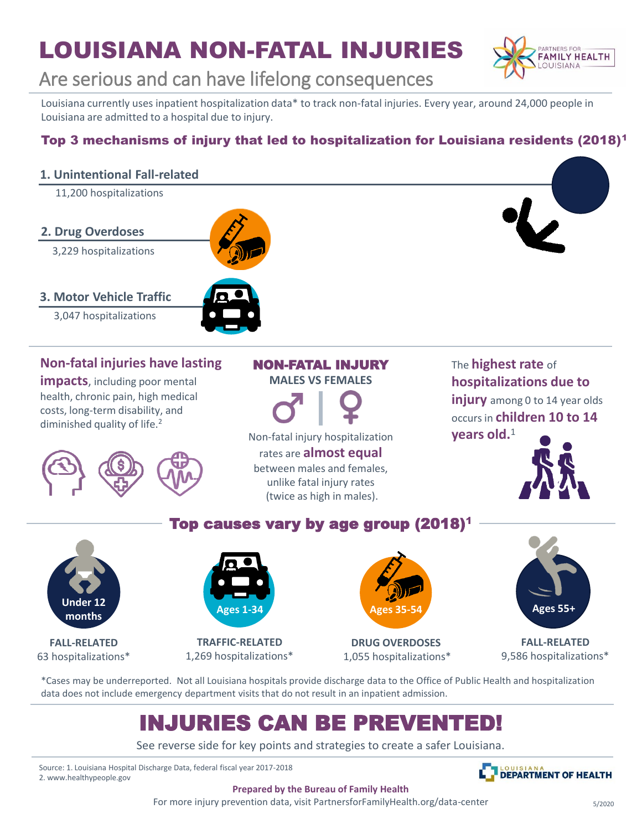# LOUISIANA NON-FATAL INJURIES



## Are serious and can have lifelong consequences

Louisiana currently uses inpatient hospitalization data\* to track non-fatal injuries. Every year, around 24,000 people in Louisiana are admitted to a hospital due to injury.

### Top 3 mechanisms of injury that led to hospitalization for Louisiana residents (2018)<sup>1</sup>

### **1. Unintentional Fall-related**

11,200 hospitalizations

#### **2. Drug Overdoses**

- 3,229 hospitalizations
- **3. Motor Vehicle Traffic**
	- 3,047 hospitalizations

## **Non-fatal injuries have lasting**

**impacts**, including poor mental health, chronic pain, high medical costs, long-term disability, and diminished quality of life.<sup>2</sup>



### NON-FATAL INJURY

**MALES VS FEMALES**



Non-fatal injury hospitalization rates are **almost equal**  between males and females,

unlike fatal injury rates (twice as high in males).

Top causes vary by age group (2018)<sup>1</sup>

### The **highest rate** of **hospitalizations due to**

**injury** among 0 to 14 year olds occurs in **children 10 to 14 years old.**<sup>1</sup>



# **Under 12 months**

**FALL-RELATED** 63 hospitalizations\*



**TRAFFIC-RELATED** 1,269 hospitalizations\*



**DRUG OVERDOSES** 1,055 hospitalizations\*



**FALL-RELATED** 9,586 hospitalizations\*

\*Cases may be underreported. Not all Louisiana hospitals provide discharge data to the Office of Public Health and hospitalization data does not include emergency department visits that do not result in an inpatient admission.

## INJURIES CAN BE PREVENTED!

See reverse side for key points and strategies to create a safer Louisiana.

Source: 1. Louisiana Hospital Discharge Data, federal fiscal year 2017-2018 2. www.healthypeople.gov



**Prepared by the Bureau of Family Health**

For more injury prevention data, visit PartnersforFamilyHealth.org/data-center